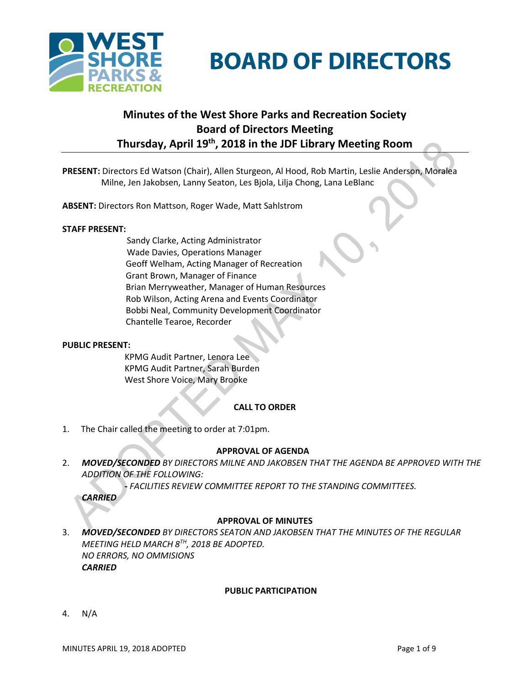

# **BOARD OF DIRECTORS**

# **Minutes of the West Shore Parks and Recreation Society Board of Directors Meeting Thursday, April 19th , 2018 in the JDF Library Meeting Room**

**PRESENT:** Directors Ed Watson (Chair), Allen Sturgeon, Al Hood, Rob Martin, Leslie Anderson, Moralea Milne, Jen Jakobsen, Lanny Seaton, Les Bjola, Lilja Chong, Lana LeBlanc

**ABSENT:** Directors Ron Mattson, Roger Wade, Matt Sahlstrom

#### **STAFF PRESENT:**

Sandy Clarke, Acting Administrator Wade Davies, Operations Manager Geoff Welham, Acting Manager of Recreation Grant Brown, Manager of Finance Brian Merryweather, Manager of Human Resources Rob Wilson, Acting Arena and Events Coordinator Bobbi Neal, Community Development Coordinator Chantelle Tearoe, Recorder

#### **PUBLIC PRESENT:**

KPMG Audit Partner, Lenora Lee KPMG Audit Partner, Sarah Burden West Shore Voice, Mary Brooke

#### **CALL TO ORDER**

1. The Chair called the meeting to order at 7:01pm.

#### **APPROVAL OF AGENDA**

2. *MOVED/SECONDED BY DIRECTORS MILNE AND JAKOBSEN THAT THE AGENDA BE APPROVED WITH THE ADDITION OF THE FOLLOWING:*

*- FACILITIES REVIEW COMMITTEE REPORT TO THE STANDING COMMITTEES.*

*CARRIED*

#### **APPROVAL OF MINUTES**

3. *MOVED/SECONDED BY DIRECTORS SEATON AND JAKOBSEN THAT THE MINUTES OF THE REGULAR MEETING HELD MARCH 8TH , 2018 BE ADOPTED. NO ERRORS, NO OMMISIONS CARRIED*

#### **PUBLIC PARTICIPATION**

4. N/A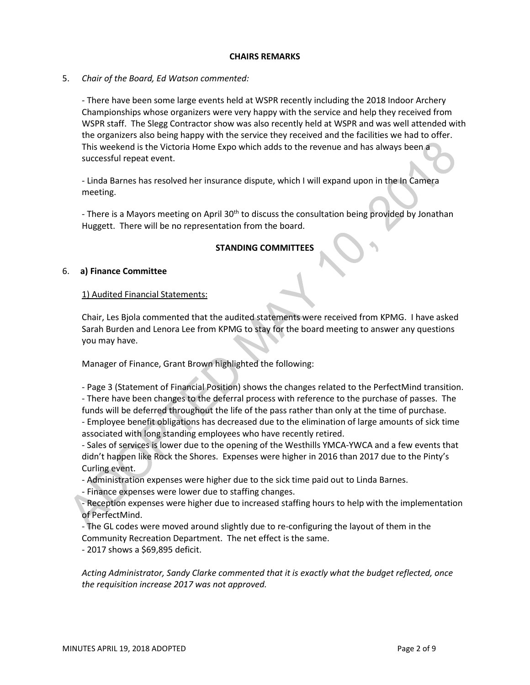#### **CHAIRS REMARKS**

5. *Chair of the Board, Ed Watson commented:*

- There have been some large events held at WSPR recently including the 2018 Indoor Archery Championships whose organizers were very happy with the service and help they received from WSPR staff. The Slegg Contractor show was also recently held at WSPR and was well attended with the organizers also being happy with the service they received and the facilities we had to offer. This weekend is the Victoria Home Expo which adds to the revenue and has always been a successful repeat event.

- Linda Barnes has resolved her insurance dispute, which I will expand upon in the In Camera meeting.

- There is a Mayors meeting on April 30<sup>th</sup> to discuss the consultation being provided by Jonathan Huggett. There will be no representation from the board.

#### **STANDING COMMITTEES**

#### 6. **a) Finance Committee**

#### 1) Audited Financial Statements:

Chair, Les Bjola commented that the audited statements were received from KPMG. I have asked Sarah Burden and Lenora Lee from KPMG to stay for the board meeting to answer any questions you may have.

Manager of Finance, Grant Brown highlighted the following:

- Page 3 (Statement of Financial Position) shows the changes related to the PerfectMind transition. - There have been changes to the deferral process with reference to the purchase of passes. The funds will be deferred throughout the life of the pass rather than only at the time of purchase.

- Employee benefit obligations has decreased due to the elimination of large amounts of sick time associated with long standing employees who have recently retired.

- Sales of services is lower due to the opening of the Westhills YMCA-YWCA and a few events that didn't happen like Rock the Shores. Expenses were higher in 2016 than 2017 due to the Pinty's Curling event.

- Administration expenses were higher due to the sick time paid out to Linda Barnes.

- Finance expenses were lower due to staffing changes.

- Reception expenses were higher due to increased staffing hours to help with the implementation of PerfectMind.

- The GL codes were moved around slightly due to re-configuring the layout of them in the Community Recreation Department. The net effect is the same.

- 2017 shows a \$69,895 deficit.

*Acting Administrator, Sandy Clarke commented that it is exactly what the budget reflected, once the requisition increase 2017 was not approved.*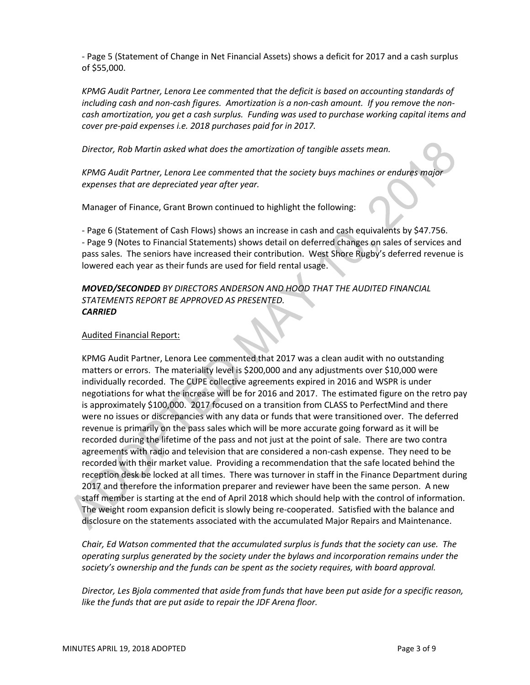- Page 5 (Statement of Change in Net Financial Assets) shows a deficit for 2017 and a cash surplus of \$55,000.

*KPMG Audit Partner, Lenora Lee commented that the deficit is based on accounting standards of including cash and non-cash figures. Amortization is a non-cash amount. If you remove the noncash amortization, you get a cash surplus. Funding was used to purchase working capital items and cover pre-paid expenses i.e. 2018 purchases paid for in 2017.*

*Director, Rob Martin asked what does the amortization of tangible assets mean.*

*KPMG Audit Partner, Lenora Lee commented that the society buys machines or endures major expenses that are depreciated year after year.*

Manager of Finance, Grant Brown continued to highlight the following:

- Page 6 (Statement of Cash Flows) shows an increase in cash and cash equivalents by \$47.756. - Page 9 (Notes to Financial Statements) shows detail on deferred changes on sales of services and pass sales. The seniors have increased their contribution. West Shore Rugby's deferred revenue is lowered each year as their funds are used for field rental usage.

*MOVED/SECONDED BY DIRECTORS ANDERSON AND HOOD THAT THE AUDITED FINANCIAL STATEMENTS REPORT BE APPROVED AS PRESENTED. CARRIED*

#### Audited Financial Report:

KPMG Audit Partner, Lenora Lee commented that 2017 was a clean audit with no outstanding matters or errors. The materiality level is \$200,000 and any adjustments over \$10,000 were individually recorded. The CUPE collective agreements expired in 2016 and WSPR is under negotiations for what the increase will be for 2016 and 2017. The estimated figure on the retro pay is approximately \$100,000. 2017 focused on a transition from CLASS to PerfectMind and there were no issues or discrepancies with any data or funds that were transitioned over. The deferred revenue is primarily on the pass sales which will be more accurate going forward as it will be recorded during the lifetime of the pass and not just at the point of sale. There are two contra agreements with radio and television that are considered a non-cash expense. They need to be recorded with their market value. Providing a recommendation that the safe located behind the reception desk be locked at all times. There was turnover in staff in the Finance Department during 2017 and therefore the information preparer and reviewer have been the same person. A new staff member is starting at the end of April 2018 which should help with the control of information. The weight room expansion deficit is slowly being re-cooperated. Satisfied with the balance and disclosure on the statements associated with the accumulated Major Repairs and Maintenance.

*Chair, Ed Watson commented that the accumulated surplus is funds that the society can use. The operating surplus generated by the society under the bylaws and incorporation remains under the society's ownership and the funds can be spent as the society requires, with board approval.* 

*Director, Les Bjola commented that aside from funds that have been put aside for a specific reason, like the funds that are put aside to repair the JDF Arena floor.*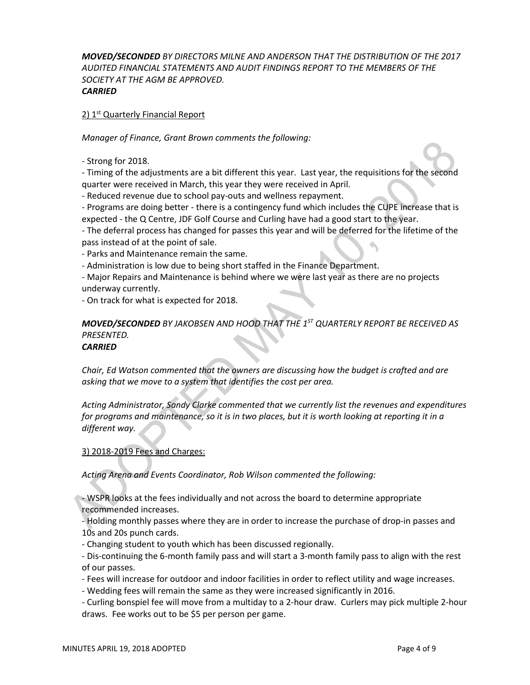*MOVED/SECONDED BY DIRECTORS MILNE AND ANDERSON THAT THE DISTRIBUTION OF THE 2017 AUDITED FINANCIAL STATEMENTS AND AUDIT FINDINGS REPORT TO THE MEMBERS OF THE SOCIETY AT THE AGM BE APPROVED. CARRIED*

## 2) 1<sup>st</sup> Quarterly Financial Report

*Manager of Finance, Grant Brown comments the following:*

- Strong for 2018.

- Timing of the adjustments are a bit different this year. Last year, the requisitions for the second quarter were received in March, this year they were received in April.

- Reduced revenue due to school pay-outs and wellness repayment.

- Programs are doing better - there is a contingency fund which includes the CUPE increase that is expected - the Q Centre, JDF Golf Course and Curling have had a good start to the year.

- The deferral process has changed for passes this year and will be deferred for the lifetime of the pass instead of at the point of sale.

- Parks and Maintenance remain the same.

- Administration is low due to being short staffed in the Finance Department.

- Major Repairs and Maintenance is behind where we were last year as there are no projects underway currently.

- On track for what is expected for 2018.

#### *MOVED/SECONDED BY JAKOBSEN AND HOOD THAT THE 1ST QUARTERLY REPORT BE RECEIVED AS PRESENTED. CARRIED*

*Chair, Ed Watson commented that the owners are discussing how the budget is crafted and are asking that we move to a system that identifies the cost per area.*

*Acting Administrator, Sandy Clarke commented that we currently list the revenues and expenditures for programs and maintenance, so it is in two places, but it is worth looking at reporting it in a different way.*

#### 3) 2018-2019 Fees and Charges:

*Acting Arena and Events Coordinator, Rob Wilson commented the following:*

- WSPR looks at the fees individually and not across the board to determine appropriate recommended increases.

- Holding monthly passes where they are in order to increase the purchase of drop-in passes and 10s and 20s punch cards.

- Changing student to youth which has been discussed regionally.

- Dis-continuing the 6-month family pass and will start a 3-month family pass to align with the rest of our passes.

- Fees will increase for outdoor and indoor facilities in order to reflect utility and wage increases.

- Wedding fees will remain the same as they were increased significantly in 2016.

- Curling bonspiel fee will move from a multiday to a 2-hour draw. Curlers may pick multiple 2-hour draws. Fee works out to be \$5 per person per game.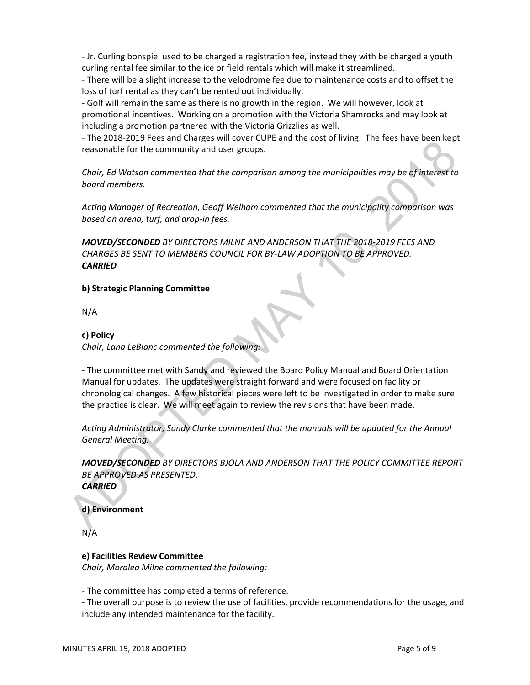- Jr. Curling bonspiel used to be charged a registration fee, instead they with be charged a youth curling rental fee similar to the ice or field rentals which will make it streamlined.

- There will be a slight increase to the velodrome fee due to maintenance costs and to offset the loss of turf rental as they can't be rented out individually.

- Golf will remain the same as there is no growth in the region. We will however, look at promotional incentives. Working on a promotion with the Victoria Shamrocks and may look at including a promotion partnered with the Victoria Grizzlies as well.

- The 2018-2019 Fees and Charges will cover CUPE and the cost of living. The fees have been kept reasonable for the community and user groups.

*Chair, Ed Watson commented that the comparison among the municipalities may be of interest to board members.*

*Acting Manager of Recreation, Geoff Welham commented that the municipality comparison was based on arena, turf, and drop-in fees.* 

*MOVED/SECONDED BY DIRECTORS MILNE AND ANDERSON THAT THE 2018-2019 FEES AND CHARGES BE SENT TO MEMBERS COUNCIL FOR BY-LAW ADOPTION TO BE APPROVED. CARRIED*

#### **b) Strategic Planning Committee**

N/A

#### **c) Policy**

*Chair, Lana LeBlanc commented the following:*

- The committee met with Sandy and reviewed the Board Policy Manual and Board Orientation Manual for updates. The updates were straight forward and were focused on facility or chronological changes. A few historical pieces were left to be investigated in order to make sure the practice is clear. We will meet again to review the revisions that have been made.

*Acting Administrator, Sandy Clarke commented that the manuals will be updated for the Annual General Meeting.*

*MOVED/SECONDED BY DIRECTORS BJOLA AND ANDERSON THAT THE POLICY COMMITTEE REPORT BE APPROVED AS PRESENTED. CARRIED*

**d) Environment**

N/A

#### **e) Facilities Review Committee**

*Chair, Moralea Milne commented the following:*

- The committee has completed a terms of reference.

- The overall purpose is to review the use of facilities, provide recommendations for the usage, and include any intended maintenance for the facility.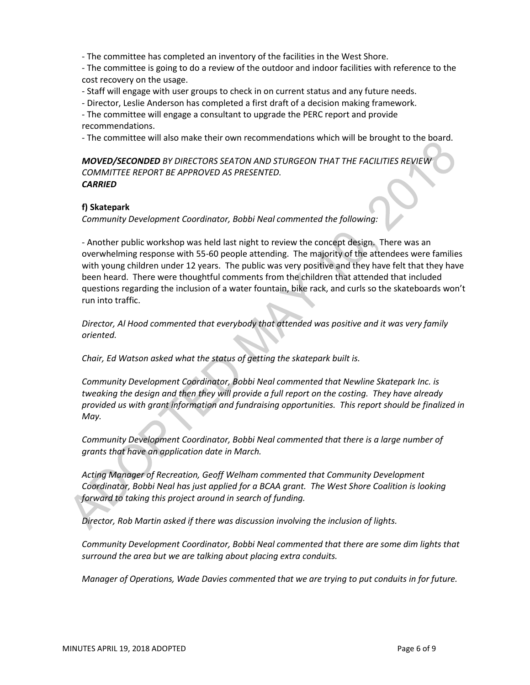- The committee has completed an inventory of the facilities in the West Shore.

- The committee is going to do a review of the outdoor and indoor facilities with reference to the cost recovery on the usage.

- Staff will engage with user groups to check in on current status and any future needs.

- Director, Leslie Anderson has completed a first draft of a decision making framework.

- The committee will engage a consultant to upgrade the PERC report and provide recommendations.

- The committee will also make their own recommendations which will be brought to the board.

*MOVED/SECONDED BY DIRECTORS SEATON AND STURGEON THAT THE FACILITIES REVIEW COMMITTEE REPORT BE APPROVED AS PRESENTED. CARRIED*

#### **f) Skatepark**

*Community Development Coordinator, Bobbi Neal commented the following:*

- Another public workshop was held last night to review the concept design. There was an overwhelming response with 55-60 people attending. The majority of the attendees were families with young children under 12 years. The public was very positive and they have felt that they have been heard. There were thoughtful comments from the children that attended that included questions regarding the inclusion of a water fountain, bike rack, and curls so the skateboards won't run into traffic.

*Director, Al Hood commented that everybody that attended was positive and it was very family oriented.*

*Chair, Ed Watson asked what the status of getting the skatepark built is.*

*Community Development Coordinator, Bobbi Neal commented that Newline Skatepark Inc. is tweaking the design and then they will provide a full report on the costing. They have already provided us with grant information and fundraising opportunities. This report should be finalized in May.*

*Community Development Coordinator, Bobbi Neal commented that there is a large number of grants that have an application date in March.*

*Acting Manager of Recreation, Geoff Welham commented that Community Development Coordinator, Bobbi Neal has just applied for a BCAA grant. The West Shore Coalition is looking forward to taking this project around in search of funding.*

*Director, Rob Martin asked if there was discussion involving the inclusion of lights.*

*Community Development Coordinator, Bobbi Neal commented that there are some dim lights that surround the area but we are talking about placing extra conduits.*

*Manager of Operations, Wade Davies commented that we are trying to put conduits in for future.*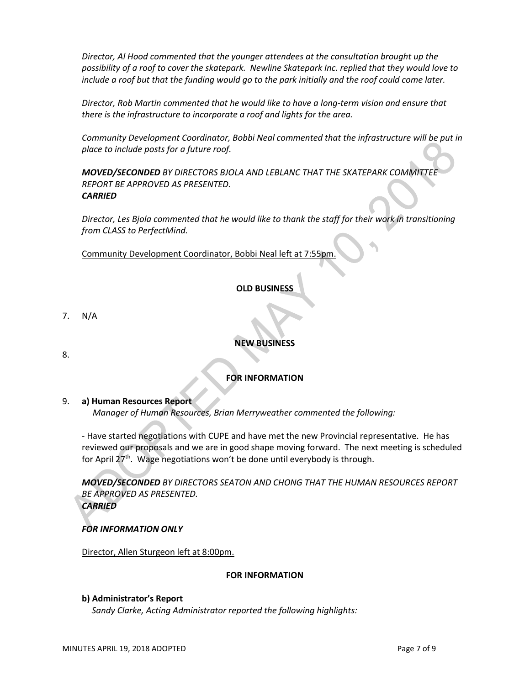*Director, Al Hood commented that the younger attendees at the consultation brought up the possibility of a roof to cover the skatepark. Newline Skatepark Inc. replied that they would love to include a roof but that the funding would go to the park initially and the roof could come later.*

*Director, Rob Martin commented that he would like to have a long-term vision and ensure that there is the infrastructure to incorporate a roof and lights for the area.*

*Community Development Coordinator, Bobbi Neal commented that the infrastructure will be put in place to include posts for a future roof.*

*MOVED/SECONDED BY DIRECTORS BJOLA AND LEBLANC THAT THE SKATEPARK COMMITTEE REPORT BE APPROVED AS PRESENTED. CARRIED*

*Director, Les Bjola commented that he would like to thank the staff for their work in transitioning from CLASS to PerfectMind.*

Community Development Coordinator, Bobbi Neal left at 7:55pm.

# **OLD BUSINESS**

- 7. N/A
- 8.

## **NEW BUSINESS**

# **FOR INFORMATION**

#### 9. **a) Human Resources Report**

*Manager of Human Resources, Brian Merryweather commented the following:*

- Have started negotiations with CUPE and have met the new Provincial representative. He has reviewed our proposals and we are in good shape moving forward. The next meeting is scheduled for April 27th. Wage negotiations won't be done until everybody is through.

*MOVED/SECONDED BY DIRECTORS SEATON AND CHONG THAT THE HUMAN RESOURCES REPORT BE APPROVED AS PRESENTED. CARRIED*

#### *FOR INFORMATION ONLY*

Director, Allen Sturgeon left at 8:00pm.

#### **FOR INFORMATION**

#### **b) Administrator's Report**

 *Sandy Clarke, Acting Administrator reported the following highlights:*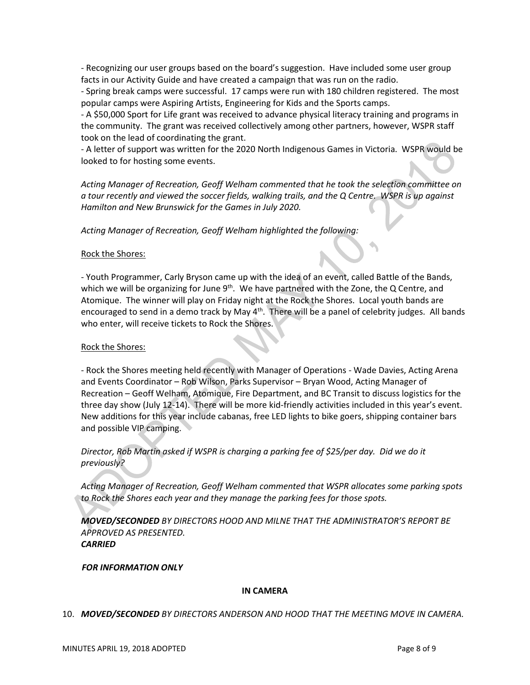- Recognizing our user groups based on the board's suggestion. Have included some user group facts in our Activity Guide and have created a campaign that was run on the radio.

- Spring break camps were successful. 17 camps were run with 180 children registered. The most popular camps were Aspiring Artists, Engineering for Kids and the Sports camps.

- A \$50,000 Sport for Life grant was received to advance physical literacy training and programs in the community. The grant was received collectively among other partners, however, WSPR staff took on the lead of coordinating the grant.

- A letter of support was written for the 2020 North Indigenous Games in Victoria. WSPR would be looked to for hosting some events.

*Acting Manager of Recreation, Geoff Welham commented that he took the selection committee on a tour recently and viewed the soccer fields, walking trails, and the Q Centre. WSPR is up against Hamilton and New Brunswick for the Games in July 2020.*

*Acting Manager of Recreation, Geoff Welham highlighted the following:*

#### Rock the Shores:

- Youth Programmer, Carly Bryson came up with the idea of an event, called Battle of the Bands, which we will be organizing for June  $9<sup>th</sup>$ . We have partnered with the Zone, the Q Centre, and Atomique. The winner will play on Friday night at the Rock the Shores. Local youth bands are encouraged to send in a demo track by May 4<sup>th</sup>. There will be a panel of celebrity judges. All bands who enter, will receive tickets to Rock the Shores.

#### Rock the Shores:

- Rock the Shores meeting held recently with Manager of Operations - Wade Davies, Acting Arena and Events Coordinator – Rob Wilson, Parks Supervisor – Bryan Wood, Acting Manager of Recreation – Geoff Welham, Atomique, Fire Department, and BC Transit to discuss logistics for the three day show (July 12-14). There will be more kid-friendly activities included in this year's event. New additions for this year include cabanas, free LED lights to bike goers, shipping container bars and possible VIP camping.

*Director, Rob Martin asked if WSPR is charging a parking fee of \$25/per day. Did we do it previously?*

*Acting Manager of Recreation, Geoff Welham commented that WSPR allocates some parking spots to Rock the Shores each year and they manage the parking fees for those spots.*

*MOVED/SECONDED BY DIRECTORS HOOD AND MILNE THAT THE ADMINISTRATOR'S REPORT BE APPROVED AS PRESENTED. CARRIED*

#### *FOR INFORMATION ONLY*

#### **IN CAMERA**

10. *MOVED/SECONDED BY DIRECTORS ANDERSON AND HOOD THAT THE MEETING MOVE IN CAMERA.*